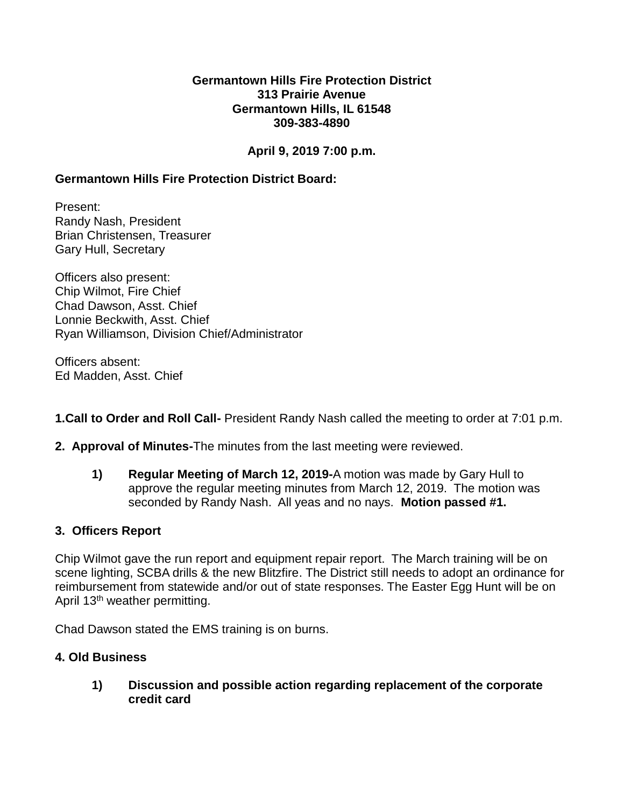#### **Germantown Hills Fire Protection District 313 Prairie Avenue Germantown Hills, IL 61548 309-383-4890**

# **April 9, 2019 7:00 p.m.**

# **Germantown Hills Fire Protection District Board:**

Present: Randy Nash, President Brian Christensen, Treasurer Gary Hull, Secretary

Officers also present: Chip Wilmot, Fire Chief Chad Dawson, Asst. Chief Lonnie Beckwith, Asst. Chief Ryan Williamson, Division Chief/Administrator

Officers absent: Ed Madden, Asst. Chief

**1.Call to Order and Roll Call-** President Randy Nash called the meeting to order at 7:01 p.m.

- **2. Approval of Minutes-**The minutes from the last meeting were reviewed.
	- **1) Regular Meeting of March 12, 2019-**A motion was made by Gary Hull to approve the regular meeting minutes from March 12, 2019. The motion was seconded by Randy Nash. All yeas and no nays. **Motion passed #1.**

### **3. Officers Report**

Chip Wilmot gave the run report and equipment repair report. The March training will be on scene lighting, SCBA drills & the new Blitzfire. The District still needs to adopt an ordinance for reimbursement from statewide and/or out of state responses. The Easter Egg Hunt will be on April 13<sup>th</sup> weather permitting.

Chad Dawson stated the EMS training is on burns.

### **4. Old Business**

**1) Discussion and possible action regarding replacement of the corporate credit card**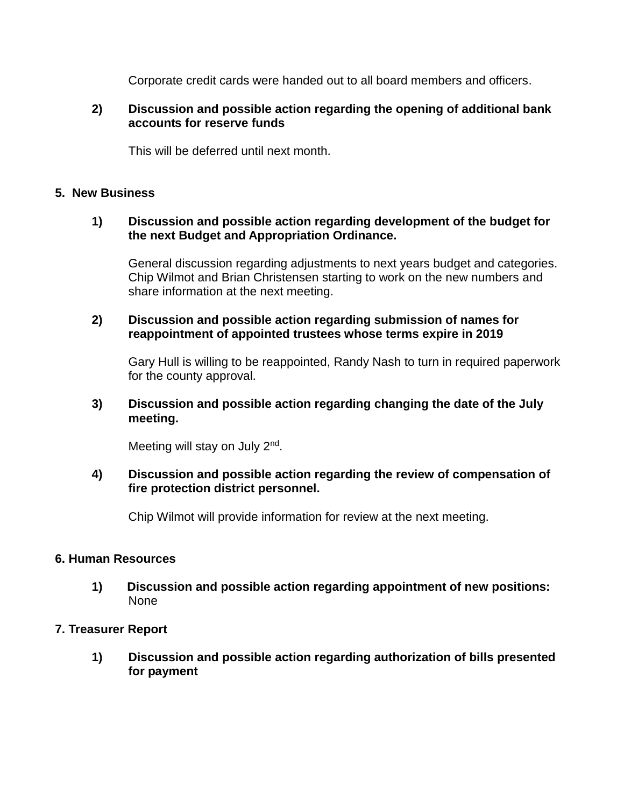Corporate credit cards were handed out to all board members and officers.

### **2) Discussion and possible action regarding the opening of additional bank accounts for reserve funds**

This will be deferred until next month.

# **5. New Business**

### **1) Discussion and possible action regarding development of the budget for the next Budget and Appropriation Ordinance.**

General discussion regarding adjustments to next years budget and categories. Chip Wilmot and Brian Christensen starting to work on the new numbers and share information at the next meeting.

### **2) Discussion and possible action regarding submission of names for reappointment of appointed trustees whose terms expire in 2019**

Gary Hull is willing to be reappointed, Randy Nash to turn in required paperwork for the county approval.

# **3) Discussion and possible action regarding changing the date of the July meeting.**

Meeting will stay on July 2<sup>nd</sup>.

# **4) Discussion and possible action regarding the review of compensation of fire protection district personnel.**

Chip Wilmot will provide information for review at the next meeting.

### **6. Human Resources**

**1) Discussion and possible action regarding appointment of new positions:**  None

### **7. Treasurer Report**

**1) Discussion and possible action regarding authorization of bills presented for payment**